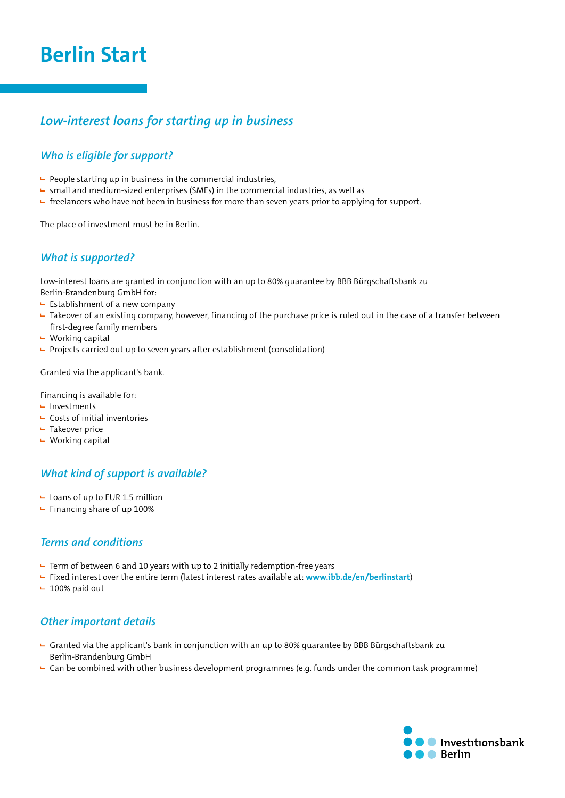# **Berlin Start**

## *Low-interest loans for starting up in business*

### *Who is eligible for support?*

- $\vdash$  People starting up in business in the commercial industries,
- $\blacktriangleright$  small and medium-sized enterprises (SMEs) in the commercial industries, as well as
- freelancers who have not been in business for more than seven years prior to applying for support.

The place of investment must be in Berlin.

#### *What is supported?*

Low-interest loans are granted in conjunction with an up to 80% guarantee by BBB Bürgschaftsbank zu Berlin-Brandenburg GmbH for:

- $\vdash$  Establishment of a new company
- $-$  Takeover of an existing company, however, financing of the purchase price is ruled out in the case of a transfer between first-degree family members
- $\vdash$  Working capital
- $\vdash$  Projects carried out up to seven years after establishment (consolidation)

Granted via the applicant's bank.

Financing is available for:

- $\blacksquare$  Investments
- $\vdash$  Costs of initial inventories
- $\vdash$  Takeover price
- $\vdash$  Working capital

#### *What kind of support is available?*

- $\overline{\phantom{a}}$  Loans of up to EUR 1.5 million
- $\blacktriangleright$  Financing share of up 100%

#### *Terms and conditions*

- $\overline{P}$  Term of between 6 and 10 years with up to 2 initially redemption-free years
- Fixed interest over the entire term (latest interest rates available at: **www.ibb.de/en/berlinstart**)
- $-100\%$  paid out

#### *Other important details*

- Granted via the applicant's bank in conjunction with an up to 80% guarantee by BBB Bürgschaftsbank zu Berlin-Brandenburg GmbH
- ► Can be combined with other business development programmes (e.g. funds under the common task programme)